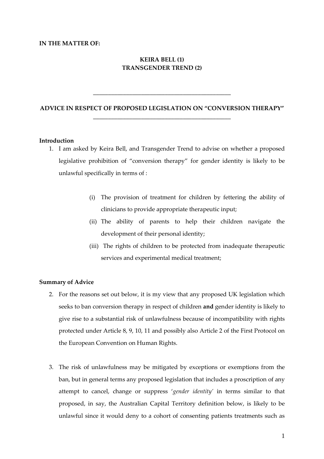#### **IN THE MATTER OF:**

## **KEIRA BELL (1) TRANSGENDER TREND (2)**

# **ADVICE IN RESPECT OF PROPOSED LEGISLATION ON "CONVERSION THERAPY" \_\_\_\_\_\_\_\_\_\_\_\_\_\_\_\_\_\_\_\_\_\_\_\_\_\_\_\_\_\_\_\_\_\_\_\_\_\_\_\_\_\_\_\_\_\_**

**\_\_\_\_\_\_\_\_\_\_\_\_\_\_\_\_\_\_\_\_\_\_\_\_\_\_\_\_\_\_\_\_\_\_\_\_\_\_\_\_\_\_\_\_\_\_**

### **Introduction**

- 1. I am asked by Keira Bell, and Transgender Trend to advise on whether a proposed legislative prohibition of "conversion therapy" for gender identity is likely to be unlawful specifically in terms of :
	- (i) The provision of treatment for children by fettering the ability of clinicians to provide appropriate therapeutic input;
	- (ii) The ability of parents to help their children navigate the development of their personal identity;
	- (iii) The rights of children to be protected from inadequate therapeutic services and experimental medical treatment;

#### **Summary of Advice**

- 2. For the reasons set out below, it is my view that any proposed UK legislation which seeks to ban conversion therapy in respect of children **and** gender identity is likely to give rise to a substantial risk of unlawfulness because of incompatibility with rights protected under Article 8, 9, 10, 11 and possibly also Article 2 of the First Protocol on the European Convention on Human Rights.
- 3. The risk of unlawfulness may be mitigated by exceptions or exemptions from the ban, but in general terms any proposed legislation that includes a proscription of any attempt to cancel, change or suppress '*gender identity'* in terms similar to that proposed, in say, the Australian Capital Territory definition below, is likely to be unlawful since it would deny to a cohort of consenting patients treatments such as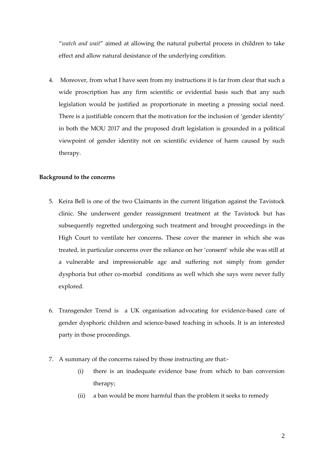"*watch and wait*" aimed at allowing the natural pubertal process in children to take effect and allow natural desistance of the underlying condition.

4. Moreover, from what I have seen from my instructions it is far from clear that such a wide proscription has any firm scientific or evidential basis such that any such legislation would be justified as proportionate in meeting a pressing social need. There is a justifiable concern that the motivation for the inclusion of 'gender identity' in both the MOU 2017 and the proposed draft legislation is grounded in a political viewpoint of gender identity not on scientific evidence of harm caused by such therapy.

## **Background to the concerns**

- 5. Keira Bell is one of the two Claimants in the current litigation against the Tavistock clinic. She underwent gender reassignment treatment at the Tavistock but has subsequently regretted undergoing such treatment and brought proceedings in the High Court to ventilate her concerns. These cover the manner in which she was treated, in particular concerns over the reliance on her 'consent' while she was still at a vulnerable and impressionable age and suffering not simply from gender dysphoria but other co-morbid conditions as well which she says were never fully explored.
- 6. Transgender Trend is a UK organisation advocating for evidence-based care of gender dysphoric children and science-based teaching in schools. It is an interested party in those proceedings.
- 7. A summary of the concerns raised by those instructing are that:-
	- (i) there is an inadequate evidence base from which to ban conversion therapy;
	- (ii) a ban would be more harmful than the problem it seeks to remedy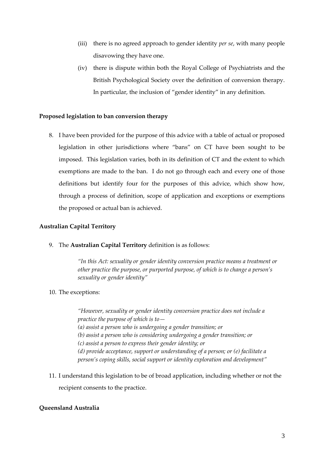- (iii) there is no agreed approach to gender identity *per se*, with many people disavowing they have one.
- (iv) there is dispute within both the Royal College of Psychiatrists and the British Psychological Society over the definition of conversion therapy. In particular, the inclusion of "gender identity" in any definition.

## **Proposed legislation to ban conversion therapy**

8. I have been provided for the purpose of this advice with a table of actual or proposed legislation in other jurisdictions where "bans" on CT have been sought to be imposed. This legislation varies, both in its definition of CT and the extent to which exemptions are made to the ban. I do not go through each and every one of those definitions but identify four for the purposes of this advice, which show how, through a process of definition, scope of application and exceptions or exemptions the proposed or actual ban is achieved.

#### **Australian Capital Territory**

9. The **Australian Capital Territory** definition is as follows:

*"In this Act: sexuality or gender identity conversion practice means a treatment or other practice the purpose, or purported purpose, of which is to change a person's sexuality or gender identity"*

10. The exceptions:

*"However, sexuality or gender identity conversion practice does not include a practice the purpose of which is to— (a) assist a person who is undergoing a gender transition; or (b) assist a person who is considering undergoing a gender transition; or (c) assist a person to express their gender identity; or (d) provide acceptance, support or understanding of a person; or (e) facilitate a person's coping skills, social support or identity exploration and development"*

11. I understand this legislation to be of broad application, including whether or not the recipient consents to the practice.

#### **Queensland Australia**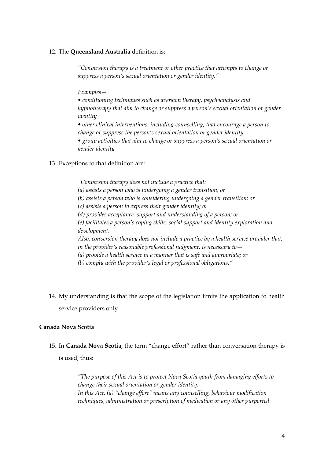## 12. The **Queensland Australia** definition is:

*"Conversion therapy is a treatment or other practice that attempts to change or suppress a person's sexual orientation or gender identity."*

*Examples—*

*• conditioning techniques such as aversion therapy, psychoanalysis and hypnotherapy that aim to change or suppress a person's sexual orientation or gender identity* 

*• other clinical interventions, including counselling, that encourage a person to change or suppress the person's sexual orientation or gender identity* 

*• group activities that aim to change or suppress a person's sexual orientation or gender identity*

## 13. Exceptions to that definition are:

*"Conversion therapy does not include a practice that: (a) assists a person who is undergoing a gender transition; or (b) assists a person who is considering undergoing a gender transition; or (c) assists a person to express their gender identity; or (d) provides acceptance, support and understanding of a person; or (e) facilitates a person's coping skills, social support and identity exploration and development. Also, conversion therapy does not include a practice by a health service provider that, in the provider's reasonable professional judgment, is necessary to— (a) provide a health service in a manner that is safe and appropriate; or (b) comply with the provider's legal or professional obligations."*

14. My understanding is that the scope of the legislation limits the application to health service providers only.

## **Canada Nova Scotia**

15. In **Canada Nova Scotia,** the term "change effort" rather than conversation therapy is is used, thus:

> *"The purpose of this Act is to protect Nova Scotia youth from damaging efforts to change their sexual orientation or gender identity. In this Act, (a) "change effort" means any counselling, behaviour modification techniques, administration or prescription of medication or any other purported*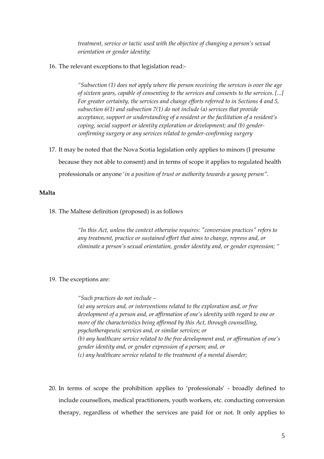*treatment, service or tactic used with the objective of changing a person's sexual orientation or gender identity;*

16. The relevant exceptions to that legislation read:-

*"Subsection (1) does not apply where the person receiving the services is over the age of sixteen years, capable of consenting to the services and consents to the services. [...] For greater certainty, the services and change efforts referred to in Sections 4 and 5, subsection 6(1) and subsection 7(1) do not include (a) services that provide acceptance, support or understanding of a resident or the facilitation of a resident's coping, social support or identity exploration or development; and (b) genderconfirming surgery or any services related to gender-confirming surgery*

17. It may be noted that the Nova Scotia legislation only applies to minors (I presume because they not able to consent) and in terms of scope it applies to regulated health professionals or anyone '*in a position of trust or authority towards a young person"*.

#### **Malta**

18. The Maltese definition (proposed) is as follows

*"In this Act, unless the context otherwise requires: "conversion practices" refers to any treatment, practice or sustained effort that aims to change, repress and, or eliminate a person's sexual orientation, gender identity and, or gender expression; "*

#### 19. The exceptions are:

*"Such practices do not include – (a) any services and, or interventions related to the exploration and, or free development of a person and, or affirmation of one's identity with regard to one or more of the characteristics being affirmed by this Act, through counselling, psychotherapeutic services and, or similar services; or (b) any healthcare service related to the free development and, or affirmation of one's gender identity and, or gender expression of a person; and, or (c) any healthcare service related to the treatment of a mental disorder;*

20. In terms of scope the prohibition applies to 'professionals' - broadly defined to include counsellors, medical practitioners, youth workers, etc. conducting conversion therapy, regardless of whether the services are paid for or not. It only applies to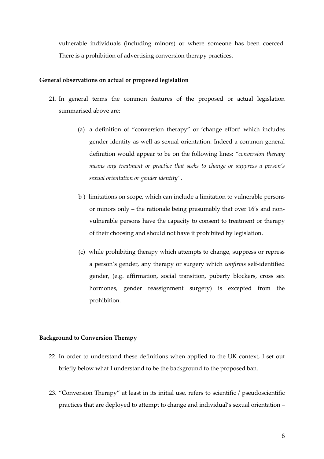vulnerable individuals (including minors) or where someone has been coerced. There is a prohibition of advertising conversion therapy practices.

### **General observations on actual or proposed legislation**

- 21. In general terms the common features of the proposed or actual legislation summarised above are:
	- (a) a definition of "conversion therapy" or 'change effort' which includes gender identity as well as sexual orientation. Indeed a common general definition would appear to be on the following lines: *"conversion therapy means any treatment or practice that seeks to change or suppress a person's sexual orientation or gender identity"*.
	- b ) limitations on scope, which can include a limitation to vulnerable persons or minors only – the rationale being presumably that over 16's and nonvulnerable persons have the capacity to consent to treatment or therapy of their choosing and should not have it prohibited by legislation.
	- (c) while prohibiting therapy which attempts to change, suppress or repress a person's gender, any therapy or surgery which *confirms* self-identified gender, (e.g. affirmation, social transition, puberty blockers, cross sex hormones, gender reassignment surgery) is excepted from the prohibition.

#### **Background to Conversion Therapy**

- 22. In order to understand these definitions when applied to the UK context, I set out briefly below what I understand to be the background to the proposed ban.
- 23. "Conversion Therapy" at least in its initial use, refers to scientific / pseudoscientific practices that are deployed to attempt to change and individual's sexual orientation –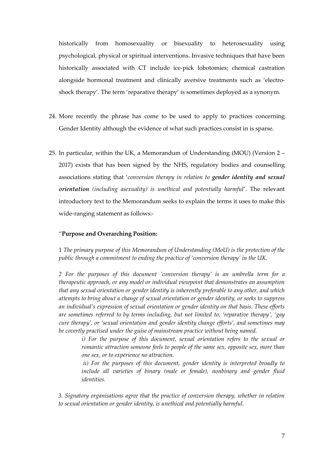historically from homosexuality or bisexuality to heterosexuality using psychological, physical or spiritual interventions. Invasive techniques that have been historically associated with CT include ice-pick lobotomies; chemical castration alongside hormonal treatment and clinically aversive treatments such as 'electroshock therapy'. The term 'reparative therapy' is sometimes deployed as a synonym.

- 24. More recently the phrase has come to be used to apply to practices concerning Gender Identity although the evidence of what such practices consist in is sparse.
- 25. In particular, within the UK, a Memorandum of Understanding (MOU) (Version 2 2017) exists that has been signed by the NHS, regulatory bodies and counselling associations stating that '*conversion therapy in relation to gender identity and sexual orientation (including asexuality) is unethical and potentially harmful*'. The relevant introductory text to the Memorandum seeks to explain the terms it uses to make this wide-ranging statement as follows:-

#### "**Purpose and Overarching Position:**

1 *The primary purpose of this Memorandum of Understanding (MoU) is the protection of the public through a commitment to ending the practice of 'conversion therapy' in the UK.* 

*2 For the purposes of this document 'conversion therapy' is an umbrella term for a therapeutic approach, or any model or individual viewpoint that demonstrates an assumption that any sexual orientation or gender identity is inherently preferable to any other, and which attempts to bring about a change of sexual orientation or gender identity, or seeks to suppress an individual's expression of sexual orientation or gender identity on that basis. These efforts are sometimes referred to by terms including, but not limited to, 'reparative therapy', 'gay cure therapy', or 'sexual orientation and gender identity change efforts', and sometimes may be covertly practised under the guise of mainstream practice without being named.* 

*i) For the purpose of this document, sexual orientation refers to the sexual or romantic attraction someone feels to people of the same sex, opposite sex, more than one sex, or to experience no attraction.*

*ii) For the purposes of this document, gender identity is interpreted broadly to include all varieties of binary (male or female), nonbinary and gender fluid identities.* 

*3. Signatory organisations agree that the practice of conversion therapy, whether in relation to sexual orientation or gender identity, is unethical and potentially harmful.*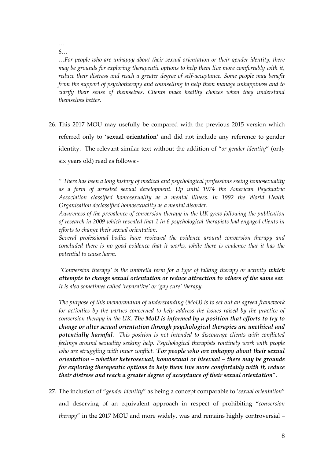… 6…

*…For people who are unhappy about their sexual orientation or their gender identity, there may be grounds for exploring therapeutic options to help them live more comfortably with it, reduce their distress and reach a greater degree of self-acceptance. Some people may benefit from the support of psychotherapy and counselling to help them manage unhappiness and to clarify their sense of themselves. Clients make healthy choices when they understand themselves better.*

26. This 2017 MOU may usefully be compared with the previous 2015 version which referred only to '**sexual orientation'** and did not include any reference to gender identity. The relevant similar text without the addition of "*or gender identity*" (only six years old) read as follows:-

" *There has been a long history of medical and psychological professions seeing homosexuality as a form of arrested sexual development. Up until 1974 the American Psychiatric Association classified homosexuality as a mental illness. In 1992 the World Health Organisation declassified homosexuality as a mental disorder.* 

*Awareness of the prevalence of conversion therapy in the UK grew following the publication of research in 2009 which revealed that 1 in 6 psychological therapists had engaged clients in efforts to change their sexual orientation.*

*Several professional bodies have reviewed the evidence around conversion therapy and concluded there is no good evidence that it works, while there is evidence that it has the potential to cause harm.*

*'Conversion therapy' is the umbrella term for a type of talking therapy or activity which attempts to change sexual orientation or reduce attraction to others of the same sex. It is also sometimes called 'reparative' or 'gay cure' therapy.* 

*The purpose of this memorandum of understanding (MoU) is to set out an agreed framework for activities by the parties concerned to help address the issues raised by the practice of conversion therapy in the UK. The MoU is informed by a position that efforts to try to change or alter sexual orientation through psychological therapies are unethical and potentially harmful. This position is not intended to discourage clients with conflicted feelings around sexuality seeking help. Psychological therapists routinely work with people who are struggling with inner conflict. 'For people who are unhappy about their sexual orientation – whether heterosexual, homosexual or bisexual – there may be grounds for exploring therapeutic options to help them live more comfortably with it, reduce their distress and reach a greater degree of acceptance of their sexual orientation*".

27. The inclusion of "*gender identity*" as being a concept comparable to '*sexual orientation*" and deserving of an equivalent approach in respect of prohibiting "*conversion therapy*" in the 2017 MOU and more widely, was and remains highly controversial –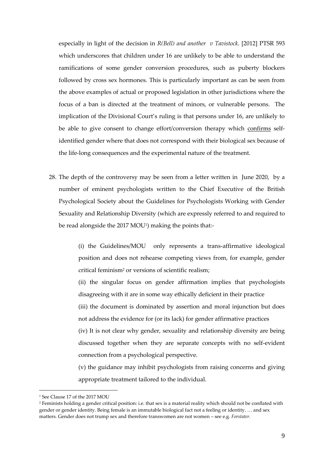especially in light of the decision in *R(Bell) and another v Tavistock*. [2012] PTSR 593 which underscores that children under 16 are unlikely to be able to understand the ramifications of some gender conversion procedures, such as puberty blockers followed by cross sex hormones. This is particularly important as can be seen from the above examples of actual or proposed legislation in other jurisdictions where the focus of a ban is directed at the treatment of minors, or vulnerable persons. The implication of the Divisional Court's ruling is that persons under 16, are unlikely to be able to give consent to change effort/conversion therapy which confirms selfidentified gender where that does not correspond with their biological sex because of the life-long consequences and the experimental nature of the treatment.

28. The depth of the controversy may be seen from a letter written in June 2020, by a number of eminent psychologists written to the Chief Executive of the British Psychological Society about the Guidelines for Psychologists Working with Gender Sexuality and Relationship Diversity (which are expressly referred to and required to be read alongside the 2017 MOU½) making the points that:-

> (i) the Guidelines/MOU only represents a trans-affirmative ideological position and does not rehearse competing views from, for example, gender critical feminism<sup>2</sup> or versions of scientific realism;

> (ii) the singular focus on gender affirmation implies that psychologists disagreeing with it are in some way ethically deficient in their practice

> (iii) the document is dominated by assertion and moral injunction but does not address the evidence for (or its lack) for gender affirmative practices

> (iv) It is not clear why gender, sexuality and relationship diversity are being discussed together when they are separate concepts with no self-evident connection from a psychological perspective.

> (v) the guidance may inhibit psychologists from raising concerns and giving appropriate treatment tailored to the individual.

<sup>&</sup>lt;sup>1</sup> See Clause 17 of the 2017 MOU

<sup>&</sup>lt;sup>2</sup> Feminists holding a gender critical position: i.e. that sex is a material reality which should not be conflated with gender or gender identity. Being female is an immutable biological fact not a feeling or identity. … and sex matters. Gender does not trump sex and therefore transwomen are not women – see e.g. *Forstater.*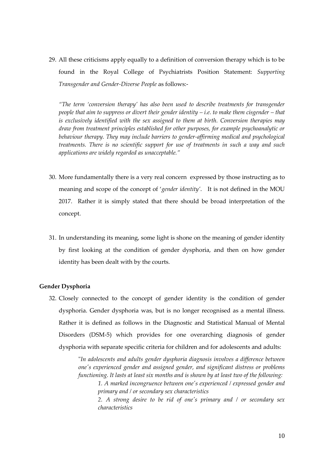29. All these criticisms apply equally to a definition of conversion therapy which is to be found in the Royal College of Psychiatrists Position Statement: *Supporting Transgender and Gender-Diverse People* as follows:-

*"The term 'conversion therapy' has also been used to describe treatments for transgender people that aim to suppress or divert their gender identity – <i>i.e. to make them cisgender – that is exclusively identified with the sex assigned to them at birth. Conversion therapies may draw from treatment principles established for other purposes, for example psychoanalytic or behaviour therapy. They may include barriers to gender-affirming medical and psychological treatments. There is no scientific support for use of treatments in such a way and such applications are widely regarded as unacceptable."*

- 30. More fundamentally there is a very real concern expressed by those instructing as to meaning and scope of the concept of '*gender identity'*. It is not defined in the MOU 2017. Rather it is simply stated that there should be broad interpretation of the concept.
- 31. In understanding its meaning, some light is shone on the meaning of gender identity by first looking at the condition of gender dysphoria, and then on how gender identity has been dealt with by the courts.

#### **Gender Dysphoria**

32. Closely connected to the concept of gender identity is the condition of gender dysphoria. Gender dysphoria was, but is no longer recognised as a mental illness. Rather it is defined as follows in the Diagnostic and Statistical Manual of Mental Disorders (DSM-5) which provides for one overarching diagnosis of gender dysphoria with separate specific criteria for children and for adolescents and adults:

> "*In adolescents and adults gender dysphoria diagnosis involves a difference between one's experienced gender and assigned gender, and significant distress or problems functioning. It lasts at least six months and is shown by at least two of the following: 1. A marked incongruence between one's experienced / expressed gender and primary and / or secondary sex characteristics 2. A strong desire to be rid of one's primary and / or secondary sex characteristics*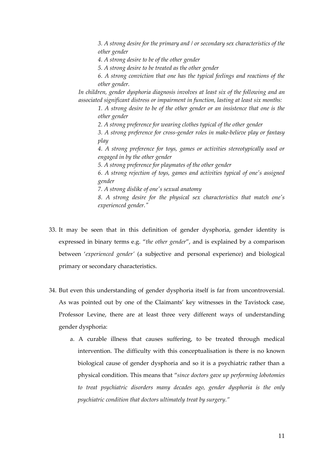*3. A strong desire for the primary and / or secondary sex characteristics of the other gender*

*4. A strong desire to be of the other gender*

*5. A strong desire to be treated as the other gender*

*6. A strong conviction that one has the typical feelings and reactions of the other gender.*

*In children, gender dysphoria diagnosis involves at least six of the following and an associated significant distress or impairment in function, lasting at least six months:*

*1. A strong desire to be of the other gender or an insistence that one is the other gender*

*2. A strong preference for wearing clothes typical of the other gender*

*3. A strong preference for cross-gender roles in make-believe play or fantasy play*

*4. A strong preference for toys, games or activities stereotypically used or engaged in by the other gender*

*5. A strong preference for playmates of the other gender*

*6. A strong rejection of toys, games and activities typical of one's assigned gender*

*7. A strong dislike of one's sexual anatomy*

*8. A strong desire for the physical sex characteristics that match one's experienced gender."*

- 33. It may be seen that in this definition of gender dysphoria, gender identity is expressed in binary terms e.g. "*the other gender*", and is explained by a comparison between '*experienced gender'* (a subjective and personal experience) and biological primary or secondary characteristics.
- 34. But even this understanding of gender dysphoria itself is far from uncontroversial. As was pointed out by one of the Claimants' key witnesses in the Tavistock case, Professor Levine, there are at least three very different ways of understanding gender dysphoria:
	- a. A curable illness that causes suffering, to be treated through medical intervention. The difficulty with this conceptualisation is there is no known biological cause of gender dysphoria and so it is a psychiatric rather than a physical condition. This means that "*since doctors gave up performing lobotomies to treat psychiatric disorders many decades ago, gender dysphoria is the only psychiatric condition that doctors ultimately treat by surgery."*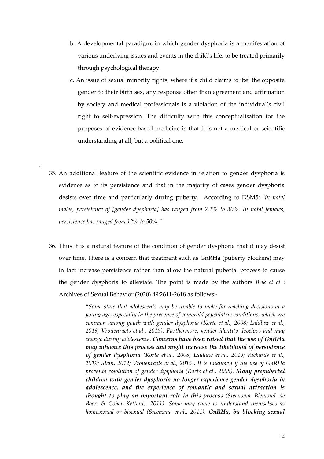- b. A developmental paradigm, in which gender dysphoria is a manifestation of various underlying issues and events in the child's life, to be treated primarily through psychological therapy.
- c. An issue of sexual minority rights, where if a child claims to 'be' the opposite gender to their birth sex, any response other than agreement and affirmation by society and medical professionals is a violation of the individual's civil right to self-expression. The difficulty with this conceptualisation for the purposes of evidence-based medicine is that it is not a medical or scientific understanding at all, but a political one.
- 35. An additional feature of the scientific evidence in relation to gender dysphoria is evidence as to its persistence and that in the majority of cases gender dysphoria desists over time and particularly during puberty. According to DSM5: "*in natal males, persistence of [gender dysphoria] has ranged from 2.2% to 30%. In natal females, persistence has ranged from 12% to 50%."*

.

36. Thus it is a natural feature of the condition of gender dysphoria that it may desist over time. There is a concern that treatment such as GnRHa (puberty blockers) may in fact increase persistence rather than allow the natural pubertal process to cause the gender dysphoria to alleviate. The point is made by the authors *Brik et al* : Archives of Sexual Behavior (2020) 49:2611-2618 as follows:-

> "*Some state that adolescents may be unable to make far-reaching decisions at a young age, especially in the presence of comorbid psychiatric conditions, which are common among youth with gender dysphoria (Korte et al., 2008; Laidlaw et al., 2019; Vrouenraets et al., 2015). Furthermore, gender identity develops and may change during adolescence. Concerns have been raised that the use of GnRHa may infuence this process and might increase the likelihood of persistence of gender dysphoria (Korte et al., 2008; Laidlaw et al., 2019; Richards et al., 2019; Stein, 2012; Vrouenraets et al., 2015). It is unknown if the use of GnRHa prevents resolution of gender dysphoria (Korte et al., 2008). Many prepubertal children with gender dysphoria no longer experience gender dysphoria in adolescence, and the experience of romantic and sexual attraction is thought to play an important role in this process (Steensma, Biemond, de Boer, & Cohen-Kettenis, 2011). Some may come to understand themselves as homosexual or bisexual (Steensma et al., 2011). GnRHa, by blocking sexual*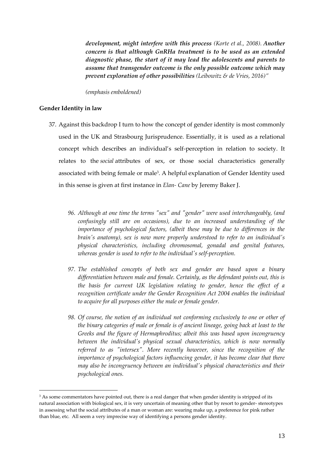*development, might interfere with this process (Korte et al., 2008). Another concern is that although GnRHa treatment is to be used as an extended diagnostic phase, the start of it may lead the adolescents and parents to assume that transgender outcome is the only possible outcome which may prevent exploration of other possibilities (Leibowitz & de Vries, 2016)"*

*(emphasis emboldened)*

### **Gender Identity in law**

- 37. Against this backdrop I turn to how the concept of gender identity is most commonly used in the UK and Strasbourg Jurisprudence. Essentially, it is used as a relational concept which describes an individual's self-perception in relation to society. It relates to the *social* attributes of sex, or those social characteristics generally associated with being female or male<sup>3</sup>. A helpful explanation of Gender Identity used in this sense is given at first instance in *Elan- Cane* by Jeremy Baker J.
	- *96. Although at one time the terms "sex" and "gender" were used interchangeably, (and confusingly still are on occasions), due to an increased understanding of the importance of psychological factors, (albeit these may be due to differences in the brain's anatomy), sex is now more properly understood to refer to an individual's physical characteristics, including chromosomal, gonadal and genital features, whereas gender is used to refer to the individual's self-perception.*
	- *97. The established concepts of both sex and gender are based upon a binary differentiation between male and female. Certainly, as the defendant points out, this is the basis for current UK legislation relating to gender, hence the effect of a recognition certificate under the Gender Recognition Act 2004 enables the individual to acquire for all purposes either the male or female gender.*
	- *98. Of course, the notion of an individual not conforming exclusively to one or other of the binary categories of male or female is of ancient lineage, going back at least to the Greeks and the figure of Hermaphroditus; albeit this was based upon incongruency between the individual's physical sexual characteristics, which is now normally referred to as "intersex". More recently however, since the recognition of the importance of psychological factors influencing gender, it has become clear that there may also be incongruency between an individual's physical characteristics and their psychological ones.*

<sup>&</sup>lt;sup>3</sup> As some commentators have pointed out, there is a real danger that when gender identity is stripped of its natural association with biological sex, it is very uncertain of meaning other that by resort to gender- stereotypes in assessing what the social attributes of a man or woman are: wearing make up, a preference for pink rather than blue, etc. All seem a very imprecise way of identifying a persons gender identity.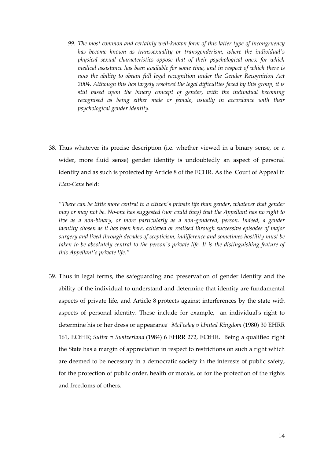- *99. The most common and certainly well-known form of this latter type of incongruency has become known as transsexuality or transgenderism, where the individual's physical sexual characteristics oppose that of their psychological ones; for which medical assistance has been available for some time, and in respect of which there is now the ability to obtain full legal recognition under the Gender Recognition Act 2004. Although this has largely resolved the legal difficulties faced by this group, it is still based upon the binary concept of gender, with the individual becoming recognised as being either male or female, usually in accordance with their psychological gender identity.*
- 38. Thus whatever its precise description (i.e. whether viewed in a binary sense, or a wider, more fluid sense) gender identity is undoubtedly an aspect of personal identity and as such is protected by Article 8 of the ECHR. As the Court of Appeal in *Elan-Cane* held:

"*There can be little more central to a citizen's private life than gender, whatever that gender may or may not be. No-one has suggested (nor could they) that the Appellant has no right to*  live as a non-binary, or more particularly as a non-gendered, person. Indeed, a gender *identity chosen as it has been here, achieved or realised through successive episodes of major surgery and lived through decades of scepticism, indifference and sometimes hostility must be taken to be absolutely central to the person's private life. It is the distinguishing feature of this Appellant's private life."*

39. Thus in legal terms, the safeguarding and preservation of gender identity and the ability of the individual to understand and determine that identity are fundamental aspects of private life, and Article 8 protects against interferences by the state with aspects of personal identity. These include for example, an individual's right to determine his or her dress or appearance: -*McFeeley v United Kingdom* (1980) 30 EHRR 161, ECtHR; *Sutter v Switzerland* (1984) 6 EHRR 272, ECtHR. Being a qualified right the State has a margin of appreciation in respect to restrictions on such a right which are deemed to be necessary in a democratic society in the interests of public safety, for the protection of public order, health or morals, or for the protection of the rights and freedoms of others.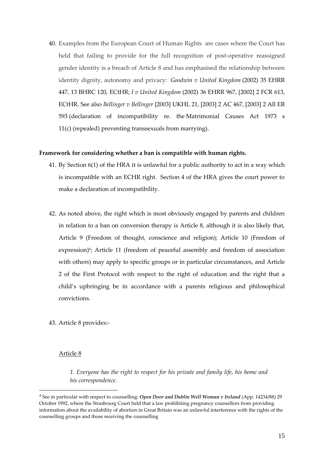40. Examples from the European Court of Human Rights are cases where the Court has held that failing to provide for the full recognition of post-operative reassigned gender identity is a breach of Article 8 and has emphasised the relationship between identity dignity, autonomy and privacy: *Goodwin v United Kingdom* (2002) 35 EHRR 447, 13 BHRC 120, ECtHR; *I v United Kingdom* (2002) 36 EHRR 967, [2002] 2 FCR 613, ECtHR. See also *Bellinger v Bellinger* [\[2003\] UKHL 21,](https://www.lexisnexis.com/uk/legal/search/enhRunRemoteLink.do?linkInfo=F%23GB%23UKHL%23sel1%252003%25year%252003%25page%2521%25&A=0.7661377381912208&backKey=20_T179939480&service=citation&ersKey=23_T179939465&langcountry=GB) [\[2003\] 2 AC 467,](https://www.lexisnexis.com/uk/legal/search/enhRunRemoteLink.do?linkInfo=F%23GB%23AC%23sel1%252003%25vol%252%25year%252003%25page%25467%25sel2%252%25&A=0.10097869319935793&backKey=20_T179939480&service=citation&ersKey=23_T179939465&langcountry=GB) [\[2003\] 2 All ER](https://www.lexisnexis.com/uk/legal/search/enhRunRemoteLink.do?linkInfo=F%23GB%23ALLER%23sel1%252003%25vol%252%25year%252003%25page%25593%25sel2%252%25&A=0.5230148835129461&backKey=20_T179939480&service=citation&ersKey=23_T179939465&langcountry=GB)  [593](https://www.lexisnexis.com/uk/legal/search/enhRunRemoteLink.do?linkInfo=F%23GB%23ALLER%23sel1%252003%25vol%252%25year%252003%25page%25593%25sel2%252%25&A=0.5230148835129461&backKey=20_T179939480&service=citation&ersKey=23_T179939465&langcountry=GB) (declaration of incompatibility re. the [Matrimonial Causes Act 1973 s](https://www.lexisnexis.com/uk/legal/search/enhRunRemoteLink.do?linkInfo=F%23GB%23UK_ACTS%23sect%2511%25num%251973_18a%25section%2511%25&A=0.6882370757356655&backKey=20_T179939480&service=citation&ersKey=23_T179939465&langcountry=GB)  [11\(c\)](https://www.lexisnexis.com/uk/legal/search/enhRunRemoteLink.do?linkInfo=F%23GB%23UK_ACTS%23sect%2511%25num%251973_18a%25section%2511%25&A=0.6882370757356655&backKey=20_T179939480&service=citation&ersKey=23_T179939465&langcountry=GB) (repealed) preventing transsexuals from marrying).

## **Framework for considering whether a ban is compatible with human rights.**

- 41. By Section 6(1) of the HRA it is unlawful for a public authority to act in a way which is incompatible with an ECHR right. Section 4 of the HRA gives the court power to make a declaration of incompatibility.
- 42. As noted above, the right which is most obviously engaged by parents and children in relation to a ban on conversion therapy is Article 8, although it is also likely that, Article 9 (Freedom of thought, conscience and religion); Article 10 (Freedom of expression)<sup>4</sup>; Article 11 (freedom of peaceful assembly and freedom of association with others) may apply to specific groups or in particular circumstances, and Article 2 of the First Protocol with respect to the right of education and the right that a child's upbringing be in accordance with a parents religious and philosophical convictions.
- 43. Article 8 provides:-

#### Article 8

*1. Everyone has the right to respect for his private and family life, his home and his correspondence.* 

<sup>4</sup> See in particular with respect to counselling: *Open Door and Dublin Well Woman v Ireland* (App. 14234/88) 29 October 1992, where the Strasbourg Court held that a law prohibiting pregnancy counsellors from providing information about the availability of abortion in Great Britain was an unlawful interference with the rights of the counselling groups and those receiving the counselling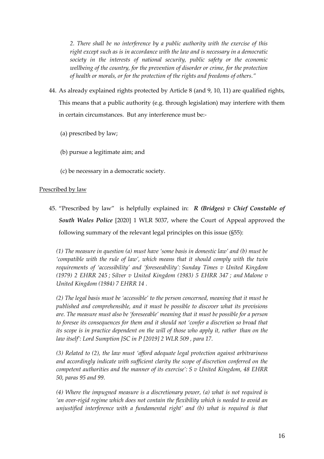*2. There shall be no interference by a public authority with the exercise of this right except such as is in accordance with the law and is necessary in a democratic society in the interests of national security, public safety or the economic wellbeing of the country, for the prevention of disorder or crime, for the protection of health or morals, or for the protection of the rights and freedoms of others."* 

- 44. As already explained rights protected by Article 8 (and 9, 10, 11) are qualified rights, This means that a public authority (e.g. through legislation) may interfere with them in certain circumstances. But any interference must be:-
	- (a) prescribed by law;
	- (b) pursue a legitimate aim; and
	- (c) be necessary in a democratic society.

## Prescribed by law

45. "Prescribed by law" is helpfully explained in: *R (Bridges) v Chief Constable of South Wales Police* [2020] 1 WLR 5037, where the Court of Appeal approved the following summary of the relevant legal principles on this issue (§55):

*(1) The measure in question (a) must have 'some basis in domestic law' and (b) must be 'compatible with the rule of law', which means that it should comply with the twin requirements of 'accessibility' and 'foreseeability': Sunday Times v United Kingdom (1979) 2 EHRR 245 ; Silver v United Kingdom (1983) 5 EHRR 347 ; and Malone v United Kingdom (1984) 7 EHRR 14 .*

*(2) The legal basis must be 'accessible' to the person concerned, meaning that it must be published and comprehensible, and it must be possible to discover what its provisions are. The measure must also be 'foreseeable' meaning that it must be possible for a person to foresee its consequences for them and it should not 'confer a discretion so broad that its scope is in practice dependent on the will of those who apply it, rather than on the law itself': Lord Sumption JSC in P [2019] 2 WLR 509 , para 17.*

*(3) Related to (2), the law must 'afford adequate legal protection against arbitrariness and accordingly indicate with sufficient clarity the scope of discretion conferred on the competent authorities and the manner of its exercise': S v United Kingdom, 48 EHRR 50, paras 95 and 99.*

*(4) Where the impugned measure is a discretionary power, (a) what is not required is 'an over-rigid regime which does not contain the flexibility which is needed to avoid an unjustified interference with a fundamental right' and (b) what is required is that*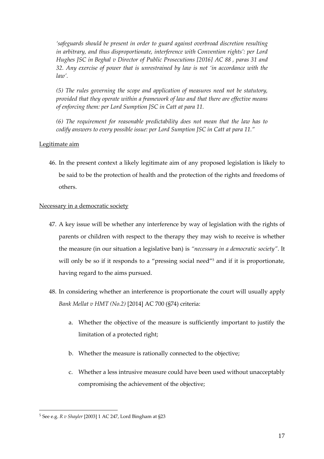*'safeguards should be present in order to guard against overbroad discretion resulting in arbitrary, and thus disproportionate, interference with Convention rights': per Lord Hughes JSC in Beghal v Director of Public Prosecutions [2016] AC 88 , paras 31 and 32. Any exercise of power that is unrestrained by law is not 'in accordance with the law'.*

*(5) The rules governing the scope and application of measures need not be statutory, provided that they operate within a framework of law and that there are effective means of enforcing them: per Lord Sumption JSC in Catt at para 11.*

*(6) The requirement for reasonable predictability does not mean that the law has to codify answers to every possible issue: per Lord Sumption JSC in Catt at para 11."*

## Legitimate aim

46. In the present context a likely legitimate aim of any proposed legislation is likely to be said to be the protection of health and the protection of the rights and freedoms of others.

## Necessary in a democratic society

- 47. A key issue will be whether any interference by way of legislation with the rights of parents or children with respect to the therapy they may wish to receive is whether the measure (in our situation a legislative ban) is *"necessary in a democratic society"*. It will only be so if it responds to a "pressing social need"<sup>5</sup> and if it is proportionate, having regard to the aims pursued.
- 48. In considering whether an interference is proportionate the court will usually apply *Bank Mellat v HMT (No.2)* [2014] AC 700 (§74) criteria:
	- a. Whether the objective of the measure is sufficiently important to justify the limitation of a protected right;
	- b. Whether the measure is rationally connected to the objective;
	- c. Whether a less intrusive measure could have been used without unacceptably compromising the achievement of the objective;

<sup>5</sup> See e.g. *R v Shayler* [2003] 1 AC 247, Lord Bingham at §23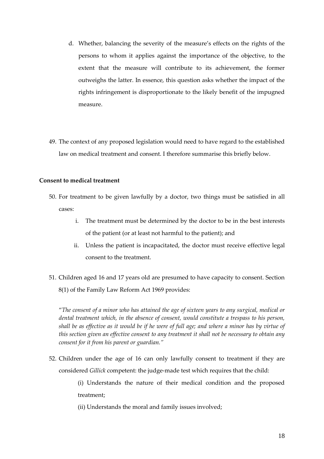- d. Whether, balancing the severity of the measure's effects on the rights of the persons to whom it applies against the importance of the objective, to the extent that the measure will contribute to its achievement, the former outweighs the latter. In essence, this question asks whether the impact of the rights infringement is disproportionate to the likely benefit of the impugned measure.
- 49. The context of any proposed legislation would need to have regard to the established law on medical treatment and consent. I therefore summarise this briefly below.

## **Consent to medical treatment**

- 50. For treatment to be given lawfully by a doctor, two things must be satisfied in all cases:
	- i. The treatment must be determined by the doctor to be in the best interests of the patient (or at least not harmful to the patient); and
	- ii. Unless the patient is incapacitated, the doctor must receive effective legal consent to the treatment.
- 51. Children aged 16 and 17 years old are presumed to have capacity to consent. Section 8(1) of the Family Law Reform Act 1969 provides:

"*The consent of a minor who has attained the age of sixteen years to any surgical, medical or dental treatment which, in the absence of consent, would constitute a trespass to his person, shall be as effective as it would be if he were of full age; and where a minor has by virtue of this section given an effective consent to any treatment it shall not be necessary to obtain any consent for it from his parent or guardian."*

52. Children under the age of 16 can only lawfully consent to treatment if they are considered *Gillick* competent: the judge-made test which requires that the child:

> (i) Understands the nature of their medical condition and the proposed treatment;

(ii) Understands the moral and family issues involved;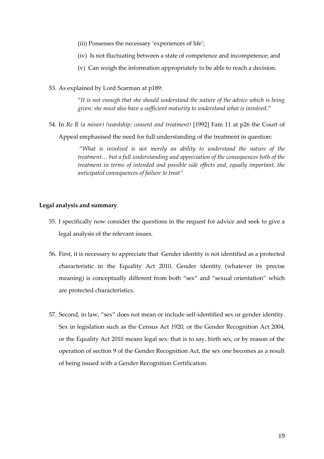- (iii) Possesses the necessary 'experiences of life';
- (iv) Is not fluctuating between a state of competence and incompetence; and
- (v) Can weigh the information appropriately to be able to reach a decision.
- 53. As explained by Lord Scarman at p189:

"*It is not enough that she should understand the nature of the advice which is being given: she must also have a sufficient maturity to understand what is involved*."

54. In *Re R (a minor) (wardship: consent and treatment)* [1992] Fam 11 at p26 the Court of Appeal emphasised the need for full understanding of the treatment in question:

> "*What is involved is not merely an ability to understand the nature of the treatment… but a full understanding and appreciation of the consequences both of the treatment in terms of intended and possible side effects and, equally important, the anticipated consequences of failure to treat"*

## **Legal analysis and summary**

- 55. I specifically now consider the questions in the request for advice and seek to give a legal analysis of the relevant issues.
- 56. First, it is necessary to appreciate that Gender identity is not identified as a protected characteristic in the Equality Act 2010. Gender identity (whatever its precise meaning) is conceptually different from both "sex" and "sexual orientation" which are protected characteristics.
- 57. Second, in law, "sex" does not mean or include self-identified sex or gender identity. Sex in legislation such as the Census Act 1920, or the Gender Recognition Act 2004, or the Equality Act 2010 means legal sex: that is to say, birth sex, or by reason of the operation of section 9 of the Gender Recognition Act, the sex one becomes as a result of being issued with a Gender Recognition Certification.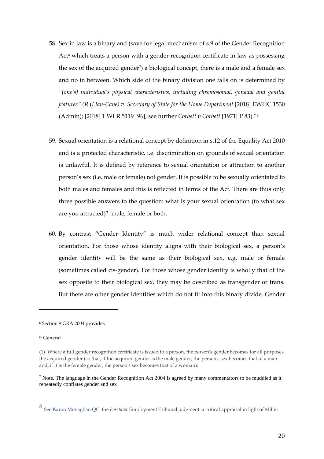- 58. Sex in law is a binary and (save for legal mechanism of s.9 of the Gender Recognition Act<sup>6</sup> which treats a person with a gender recognition certificate in law as possessing the sex of the acquired gender<sup>7</sup> ) a biological concept, there is a male and a female sex and no in between. Which side of the binary division one falls on is determined by *"[one's] individual's physical characteristics, including chromosomal, gonadal and genital features" (R* (*Elan-Cane) v [Secretary of State for the Home Department](https://www.iclr.co.uk/document/2018001678/casereport_961cbda2-663f-49b7-b7f9-4d7f0ee5a821/html)* [2018] EWHC 1530 (Admin); [\[2018\] 1 WLR 5119](http://www.iclr.co.uk/document/2018001678/casereport_961cbda2-663f-49b7-b7f9-4d7f0ee5a821/html) [96]; see further *Corbett v Corbett* [1971] P 83)." 8
- 59. Sexual orientation is a relational concept by definition in s.12 of the Equality Act 2010 and is a protected characteristic. i.e. discrimination on grounds of sexual orientation is unlawful. It is defined by reference to sexual orientation or attraction to another person's sex (i.e. male or female) not gender. It is possible to be sexually orientated to both males and females and this is reflected in terms of the Act. There are thus only three possible answers to the question: what is your sexual orientation (to what sex are you attracted)?: male, female or both.
- 60. By contrast **"**Gender Identity" is much wider relational concept than sexual orientation. For those whose identity aligns with their biological sex, a person's gender identity will be the same as their biological sex, e.g. male or female (sometimes called cis-gender). For those whose gender identity is wholly that of the sex opposite to their biological sex, they may be described as transgender or trans. But there are other gender identities which do not fit into this binary divide. Gender

#### **9 General**

**<sup>6</sup>** Section 9 GRA 2004 provides

<sup>(1)</sup> Where a full gender recognition certificate is issued to a person, the person's gender becomes for all purposes the acquired gender (so that, if the acquired gender is the male gender, the person's sex becomes that of a man and, if it is the female gender, the person's sex becomes that of a woman).

 $<sup>7</sup>$  Note. The language in the Gender Recognition Act 2004 is agreed by many commentators to be muddled as it</sup> repeatedly conflates gender and sex

<sup>8</sup> See Karon Monaghan QC: the *Forstater* Employment Tribunal judgment: a critical appraisal in light of Miller .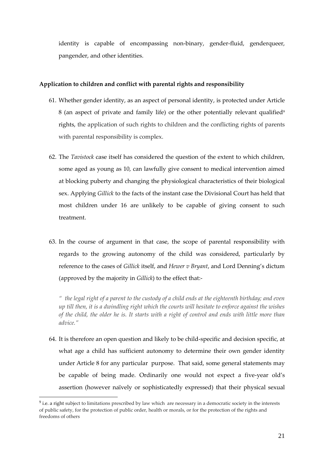identity is capable of encompassing non-binary, gender-fluid, genderqueer, pangender, and other identities.

## **Application to children and conflict with parental rights and responsibility**

- 61. Whether gender identity, as an aspect of personal identity, is protected under Article 8 (an aspect of private and family life) or the other potentially relevant qualified<sup>9</sup> rights, the application of such rights to children and the conflicting rights of parents with parental responsibility is complex.
- 62. The *Tavistock* case itself has considered the question of the extent to which children, some aged as young as 10, can lawfully give consent to medical intervention aimed at blocking puberty and changing the physiological characteristics of their biological sex. Applying *Gillick* to the facts of the instant case the Divisional Court has held that most children under 16 are unlikely to be capable of giving consent to such treatment.
- 63. In the course of argument in that case, the scope of parental responsibility with regards to the growing autonomy of the child was considered, particularly by reference to the cases of *Gillick* itself, and *Hewer v Bryant*, and Lord Denning's dictum (approved by the majority in *Gillick*) to the effect that:-

*" the legal right of a parent to the custody of a child ends at the eighteenth birthday; and even up till then, it is a dwindling right which the courts will hesitate to enforce against the wishes of the child, the older he is. It starts with a right of control and ends with little more than advice."*

64. It is therefore an open question and likely to be child-specific and decision specific, at what age a child has sufficient autonomy to determine their own gender identity under Article 8 for any particular purpose. That said, some general statements may be capable of being made. Ordinarily one would not expect a five-year old's assertion (however naïvely or sophisticatedly expressed) that their physical sexual

 $9$  i.e. a right subject to limitations prescribed by law which are necessary in a democratic society in the interests of public safety, for the protection of public order, health or morals, or for the protection of the rights and freedoms of others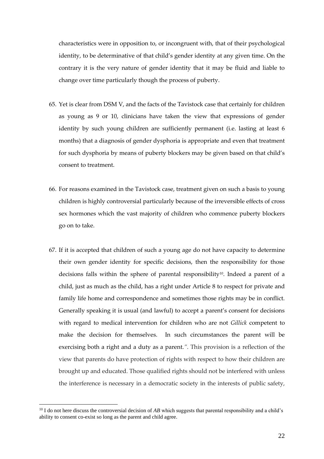characteristics were in opposition to, or incongruent with, that of their psychological identity, to be determinative of that child's gender identity at any given time. On the contrary it is the very nature of gender identity that it may be fluid and liable to change over time particularly though the process of puberty.

- 65. Yet is clear from DSM V, and the facts of the Tavistock case that certainly for children as young as 9 or 10, clinicians have taken the view that expressions of gender identity by such young children are sufficiently permanent (i.e. lasting at least 6 months) that a diagnosis of gender dysphoria is appropriate and even that treatment for such dysphoria by means of puberty blockers may be given based on that child's consent to treatment.
- 66. For reasons examined in the Tavistock case, treatment given on such a basis to young children is highly controversial particularly because of the irreversible effects of cross sex hormones which the vast majority of children who commence puberty blockers go on to take.
- 67. If it is accepted that children of such a young age do not have capacity to determine their own gender identity for specific decisions, then the responsibility for those decisions falls within the sphere of parental responsibility<sup>10</sup>. Indeed a parent of a child, just as much as the child, has a right under Article 8 to respect for private and family life home and correspondence and sometimes those rights may be in conflict. Generally speaking it is usual (and lawful) to accept a parent's consent for decisions with regard to medical intervention for children who are not *Gillick* competent to make the decision for themselves. In such circumstances the parent will be exercising both a right and a duty as a parent.*"*. This provision is a reflection of the view that parents do have protection of rights with respect to how their children are brought up and educated. Those qualified rights should not be interfered with unless the interference is necessary in a democratic society in the interests of public safety,

<sup>&</sup>lt;sup>10</sup> I do not here discuss the controversial decision of *AB* which suggests that parental responsibility and a child's ability to consent co-exist so long as the parent and child agree.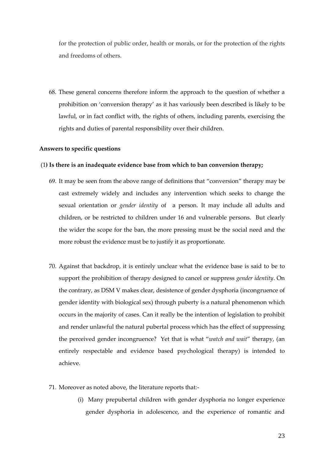for the protection of public order, health or morals, or for the protection of the rights and freedoms of others.

68. These general concerns therefore inform the approach to the question of whether a prohibition on 'conversion therapy' as it has variously been described is likely to be lawful, or in fact conflict with, the rights of others, including parents, exercising the rights and duties of parental responsibility over their children.

#### **Answers to specific questions**

#### (1**) Is there is an inadequate evidence base from which to ban conversion therapy;**

- 69. It may be seen from the above range of definitions that "conversion" therapy may be cast extremely widely and includes any intervention which seeks to change the sexual orientation or *gender identity* of a person. It may include all adults and children, or be restricted to children under 16 and vulnerable persons. But clearly the wider the scope for the ban, the more pressing must be the social need and the more robust the evidence must be to justify it as proportionate.
- 70. Against that backdrop, it is entirely unclear what the evidence base is said to be to support the prohibition of therapy designed to cancel or suppress *gender identity*. On the contrary, as DSM V makes clear, desistence of gender dysphoria (incongruence of gender identity with biological sex) through puberty is a natural phenomenon which occurs in the majority of cases. Can it really be the intention of legislation to prohibit and render unlawful the natural pubertal process which has the effect of suppressing the perceived gender incongruence? Yet that is what "*watch and wait*" therapy, (an entirely respectable and evidence based psychological therapy) is intended to achieve.
- 71. Moreover as noted above, the literature reports that:-
	- (i) Many prepubertal children with gender dysphoria no longer experience gender dysphoria in adolescence, and the experience of romantic and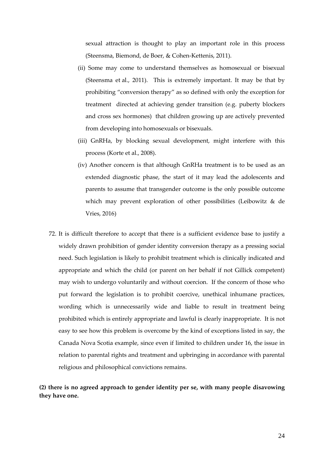sexual attraction is thought to play an important role in this process (Steensma, Biemond, de Boer, & Cohen-Kettenis, 2011).

- (ii) Some may come to understand themselves as homosexual or bisexual (Steensma et al., 2011). This is extremely important. It may be that by prohibiting "conversion therapy" as so defined with only the exception for treatment directed at achieving gender transition (e.g. puberty blockers and cross sex hormones) that children growing up are actively prevented from developing into homosexuals or bisexuals.
- (iii) GnRHa, by blocking sexual development, might interfere with this process (Korte et al., 2008).
- (iv) Another concern is that although GnRHa treatment is to be used as an extended diagnostic phase, the start of it may lead the adolescents and parents to assume that transgender outcome is the only possible outcome which may prevent exploration of other possibilities (Leibowitz & de Vries, 2016)
- 72. It is difficult therefore to accept that there is a sufficient evidence base to justify a widely drawn prohibition of gender identity conversion therapy as a pressing social need. Such legislation is likely to prohibit treatment which is clinically indicated and appropriate and which the child (or parent on her behalf if not Gillick competent) may wish to undergo voluntarily and without coercion. If the concern of those who put forward the legislation is to prohibit coercive, unethical inhumane practices, wording which is unnecessarily wide and liable to result in treatment being prohibited which is entirely appropriate and lawful is clearly inappropriate. It is not easy to see how this problem is overcome by the kind of exceptions listed in say, the Canada Nova Scotia example, since even if limited to children under 16, the issue in relation to parental rights and treatment and upbringing in accordance with parental religious and philosophical convictions remains.

# **(2) there is no agreed approach to gender identity per se, with many people disavowing they have one.**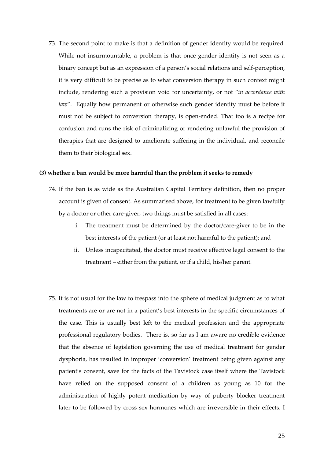73. The second point to make is that a definition of gender identity would be required. While not insurmountable, a problem is that once gender identity is not seen as a binary concept but as an expression of a person's social relations and self-perception, it is very difficult to be precise as to what conversion therapy in such context might include, rendering such a provision void for uncertainty, or not "*in accordance with law*". Equally how permanent or otherwise such gender identity must be before it must not be subject to conversion therapy, is open-ended. That too is a recipe for confusion and runs the risk of criminalizing or rendering unlawful the provision of therapies that are designed to ameliorate suffering in the individual, and reconcile them to their biological sex.

#### **(3) whether a ban would be more harmful than the problem it seeks to remedy**

- 74. If the ban is as wide as the Australian Capital Territory definition, then no proper account is given of consent. As summarised above, for treatment to be given lawfully by a doctor or other care-giver, two things must be satisfied in all cases:
	- i. The treatment must be determined by the doctor/care-giver to be in the best interests of the patient (or at least not harmful to the patient); and
	- ii. Unless incapacitated, the doctor must receive effective legal consent to the treatment – either from the patient, or if a child, his/her parent.
- 75. It is not usual for the law to trespass into the sphere of medical judgment as to what treatments are or are not in a patient's best interests in the specific circumstances of the case. This is usually best left to the medical profession and the appropriate professional regulatory bodies. There is, so far as I am aware no credible evidence that the absence of legislation governing the use of medical treatment for gender dysphoria, has resulted in improper 'conversion' treatment being given against any patient's consent, save for the facts of the Tavistock case itself where the Tavistock have relied on the supposed consent of a children as young as 10 for the administration of highly potent medication by way of puberty blocker treatment later to be followed by cross sex hormones which are irreversible in their effects. I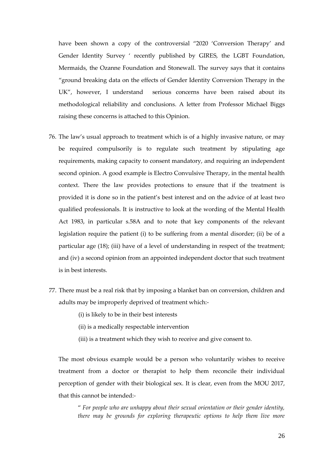have been shown a copy of the controversial "2020 'Conversion Therapy' and Gender Identity Survey ' recently published by GIRES, the LGBT Foundation, Mermaids, the Ozanne Foundation and Stonewall. The survey says that it contains "ground breaking data on the effects of Gender Identity Conversion Therapy in the UK", however, I understand serious concerns have been raised about its methodological reliability and conclusions. A letter from Professor Michael Biggs raising these concerns is attached to this Opinion.

- 76. The law's usual approach to treatment which is of a highly invasive nature, or may be required compulsorily is to regulate such treatment by stipulating age requirements, making capacity to consent mandatory, and requiring an independent second opinion. A good example is Electro Convulsive Therapy, in the mental health context. There the law provides protections to ensure that if the treatment is provided it is done so in the patient's best interest and on the advice of at least two qualified professionals. It is instructive to look at the wording of the Mental Health Act 1983, in particular s.58A and to note that key components of the relevant legislation require the patient (i) to be suffering from a mental disorder; (ii) be of a particular age (18); (iii) have of a level of understanding in respect of the treatment; and (iv) a second opinion from an appointed independent doctor that such treatment is in best interests.
- 77. There must be a real risk that by imposing a blanket ban on conversion, children and adults may be improperly deprived of treatment which:-
	- (i) is likely to be in their best interests
	- (ii) is a medically respectable intervention
	- (iii) is a treatment which they wish to receive and give consent to.

The most obvious example would be a person who voluntarily wishes to receive treatment from a doctor or therapist to help them reconcile their individual perception of gender with their biological sex. It is clear, even from the MOU 2017, that this cannot be intended:-

" *For people who are unhappy about their sexual orientation or their gender identity, there may be grounds for exploring therapeutic options to help them live more*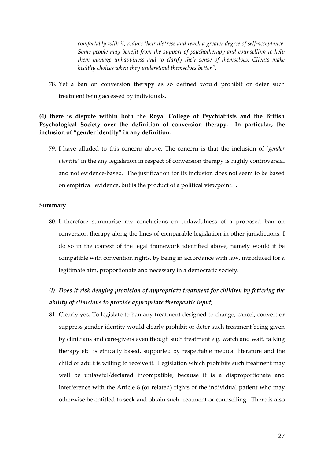*comfortably with it, reduce their distress and reach a greater degree of self-acceptance. Some people may benefit from the support of psychotherapy and counselling to help them manage unhappiness and to clarify their sense of themselves. Clients make healthy choices when they understand themselves better".*

78. Yet a ban on conversion therapy as so defined would prohibit or deter such treatment being accessed by individuals.

# **(4) there is dispute within both the Royal College of Psychiatrists and the British Psychological Society over the definition of conversion therapy. In particular, the inclusion of "gender identity" in any definition.**

79. I have alluded to this concern above. The concern is that the inclusion of '*gender identity*' in the any legislation in respect of conversion therapy is highly controversial and not evidence-based. The justification for its inclusion does not seem to be based on empirical evidence, but is the product of a political viewpoint. .

### **Summary**

80. I therefore summarise my conclusions on unlawfulness of a proposed ban on conversion therapy along the lines of comparable legislation in other jurisdictions. I do so in the context of the legal framework identified above, namely would it be compatible with convention rights, by being in accordance with law, introduced for a legitimate aim, proportionate and necessary in a democratic society.

# *(i) Does it risk denying provision of appropriate treatment for children by fettering the ability of clinicians to provide appropriate therapeutic input***;**

81. Clearly yes. To legislate to ban any treatment designed to change, cancel, convert or suppress gender identity would clearly prohibit or deter such treatment being given by clinicians and care-givers even though such treatment e.g. watch and wait, talking therapy etc. is ethically based, supported by respectable medical literature and the child or adult is willing to receive it. Legislation which prohibits such treatment may well be unlawful/declared incompatible, because it is a disproportionate and interference with the Article 8 (or related) rights of the individual patient who may otherwise be entitled to seek and obtain such treatment or counselling. There is also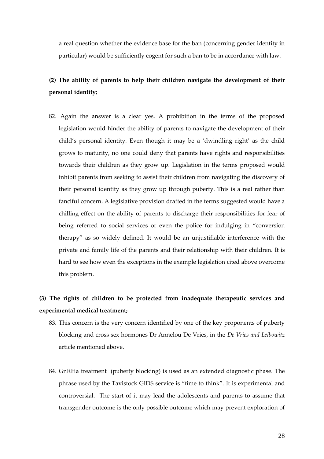a real question whether the evidence base for the ban (concerning gender identity in particular) would be sufficiently cogent for such a ban to be in accordance with law.

# **(2) The ability of parents to help their children navigate the development of their personal identity;**

82. Again the answer is a clear yes. A prohibition in the terms of the proposed legislation would hinder the ability of parents to navigate the development of their child's personal identity. Even though it may be a 'dwindling right' as the child grows to maturity, no one could deny that parents have rights and responsibilities towards their children as they grow up. Legislation in the terms proposed would inhibit parents from seeking to assist their children from navigating the discovery of their personal identity as they grow up through puberty. This is a real rather than fanciful concern. A legislative provision drafted in the terms suggested would have a chilling effect on the ability of parents to discharge their responsibilities for fear of being referred to social services or even the police for indulging in "conversion therapy" as so widely defined. It would be an unjustifiable interference with the private and family life of the parents and their relationship with their children. It is hard to see how even the exceptions in the example legislation cited above overcome this problem.

# **(3) The rights of children to be protected from inadequate therapeutic services and experimental medical treatment;**

- 83. This concern is the very concern identified by one of the key proponents of puberty blocking and cross sex hormones Dr Annelou De Vries, in the *De Vries and Leibowitz* article mentioned above.
- 84. GnRHa treatment (puberty blocking) is used as an extended diagnostic phase. The phrase used by the Tavistock GIDS service is "time to think". It is experimental and controversial. The start of it may lead the adolescents and parents to assume that transgender outcome is the only possible outcome which may prevent exploration of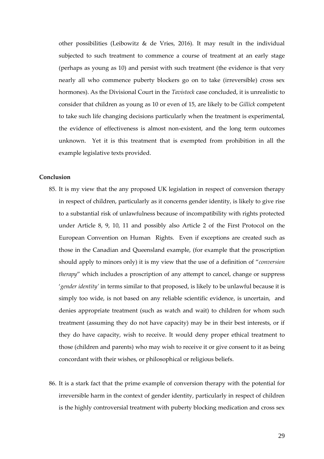other possibilities (Leibowitz & de Vries, 2016). It may result in the individual subjected to such treatment to commence a course of treatment at an early stage (perhaps as young as 10) and persist with such treatment (the evidence is that very nearly all who commence puberty blockers go on to take (irreversible) cross sex hormones). As the Divisional Court in the *Tavistock* case concluded, it is unrealistic to consider that children as young as 10 or even of 15, are likely to be *Gillick* competent to take such life changing decisions particularly when the treatment is experimental, the evidence of effectiveness is almost non-existent, and the long term outcomes unknown. Yet it is this treatment that is exempted from prohibition in all the example legislative texts provided.

## **Conclusion**

- 85. It is my view that the any proposed UK legislation in respect of conversion therapy in respect of children, particularly as it concerns gender identity, is likely to give rise to a substantial risk of unlawfulness because of incompatibility with rights protected under Article 8, 9, 10, 11 and possibly also Article 2 of the First Protocol on the European Convention on Human Rights. Even if exceptions are created such as those in the Canadian and Queensland example, (for example that the proscription should apply to minors only) it is my view that the use of a definition of "*conversion therapy*" which includes a proscription of any attempt to cancel, change or suppress '*gender identity'* in terms similar to that proposed, is likely to be unlawful because it is simply too wide, is not based on any reliable scientific evidence, is uncertain, and denies appropriate treatment (such as watch and wait) to children for whom such treatment (assuming they do not have capacity) may be in their best interests, or if they do have capacity, wish to receive. It would deny proper ethical treatment to those (children and parents) who may wish to receive it or give consent to it as being concordant with their wishes, or philosophical or religious beliefs.
- 86. It is a stark fact that the prime example of conversion therapy with the potential for irreversible harm in the context of gender identity, particularly in respect of children is the highly controversial treatment with puberty blocking medication and cross sex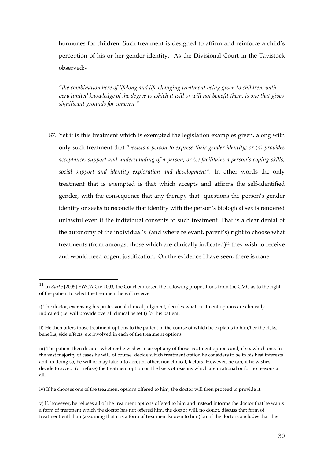hormones for children. Such treatment is designed to affirm and reinforce a child's perception of his or her gender identity. As the Divisional Court in the Tavistock observed:-

*"the combination here of lifelong and life changing treatment being given to children, with very limited knowledge of the degree to which it will or will not benefit them, is one that gives significant grounds for concern."*

87. Yet it is this treatment which is exempted the legislation examples given, along with only such treatment that "*assists a person to express their gender identity; or (d) provides acceptance, support and understanding of a person; or (e) facilitates a person's coping skills, social support and identity exploration and development".* In other words the only treatment that is exempted is that which accepts and affirms the self-identified gender, with the consequence that any therapy that questions the person's gender identity or seeks to reconcile that identity with the person's biological sex is rendered unlawful even if the individual consents to such treatment. That is a clear denial of the autonomy of the individual's (and where relevant, parent's) right to choose what treatments (from amongst those which are clinically indicated)<sup>11</sup> they wish to receive and would need cogent justification. On the evidence I have seen, there is none.

<sup>11</sup> In *Burke* [2005] EWCA Civ 1003, the Court endorsed the following propositions from the GMC as to the right of the patient to select the treatment he will receive:

i) The doctor, exercising his professional clinical judgment, decides what treatment options are clinically indicated (i.e. will provide overall clinical benefit) for his patient.

ii) He then offers those treatment options to the patient in the course of which he explains to him/her the risks, benefits, side effects, etc involved in each of the treatment options.

iii) The patient then decides whether he wishes to accept any of those treatment options and, if so, which one. In the vast majority of cases he will, of course, decide which treatment option he considers to be in his best interests and, in doing so, he will or may take into account other, non clinical, factors. However, he can, if he wishes, decide to accept (or refuse) the treatment option on the basis of reasons which are irrational or for no reasons at all.

iv) If he chooses one of the treatment options offered to him, the doctor will then proceed to provide it.

v) If, however, he refuses all of the treatment options offered to him and instead informs the doctor that he wants a form of treatment which the doctor has not offered him, the doctor will, no doubt, discuss that form of treatment with him (assuming that it is a form of treatment known to him) but if the doctor concludes that this